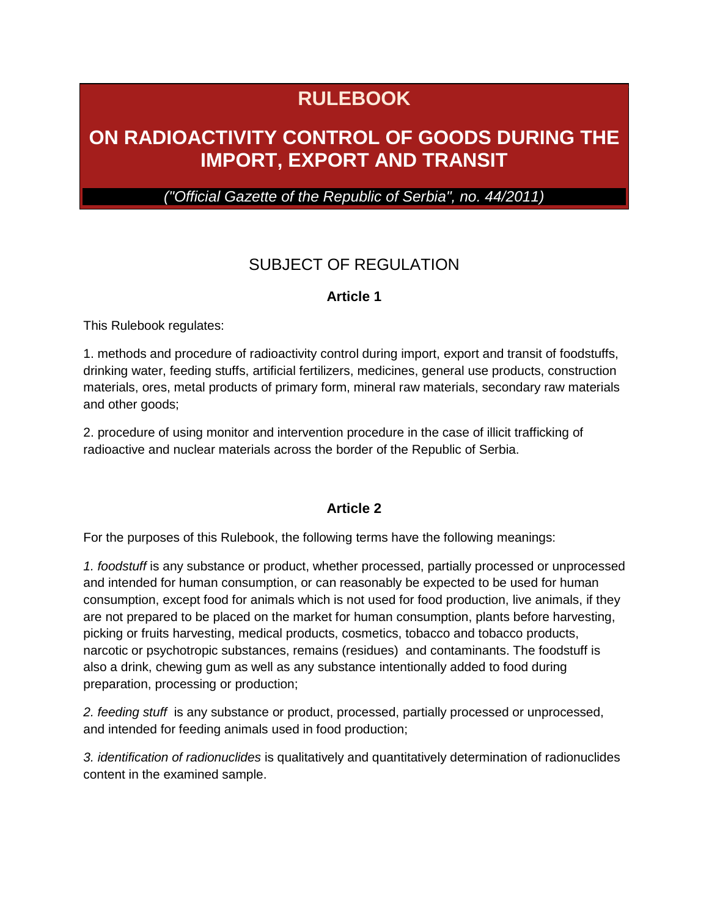# **RULEBOOK**

# **ON RADIOACTIVITY CONTROL OF GOODS DURING THE IMPORT, EXPORT AND TRANSIT**

*("Official Gazette of the Republic of Serbia", no. 44/2011)*

## SUBJECT OF REGULATION

### **Article 1**

This Rulebook regulates:

1. methods and procedure of radioactivity control during import, export and transit of foodstuffs, drinking water, feeding stuffs, artificial fertilizers, medicines, general use products, construction materials, ores, metal products of primary form, mineral raw materials, secondary raw materials and other goods;

2. procedure of using monitor and intervention procedure in the case of illicit trafficking of radioactive and nuclear materials across the border of the Republic of Serbia.

### **Article 2**

For the purposes of this Rulebook, the following terms have the following meanings:

*1. foodstuff* is any substance or product, whether processed, partially processed or unprocessed and intended for human consumption, or can reasonably be expected to be used for human consumption, except food for animals which is not used for food production, live animals, if they are not prepared to be placed on the market for human consumption, plants before harvesting, picking or fruits harvesting, medical products, cosmetics, tobacco and tobacco products, narcotic or psychotropic substances, remains (residues) and contaminants. The foodstuff is also a drink, chewing gum as well as any substance intentionally added to food during preparation, processing or production;

*2. feeding stuff* is any substance or product, processed, partially processed or unprocessed, and intended for feeding animals used in food production;

*3. identification of radionuclides* is qualitatively and quantitatively determination of radionuclides content in the examined sample.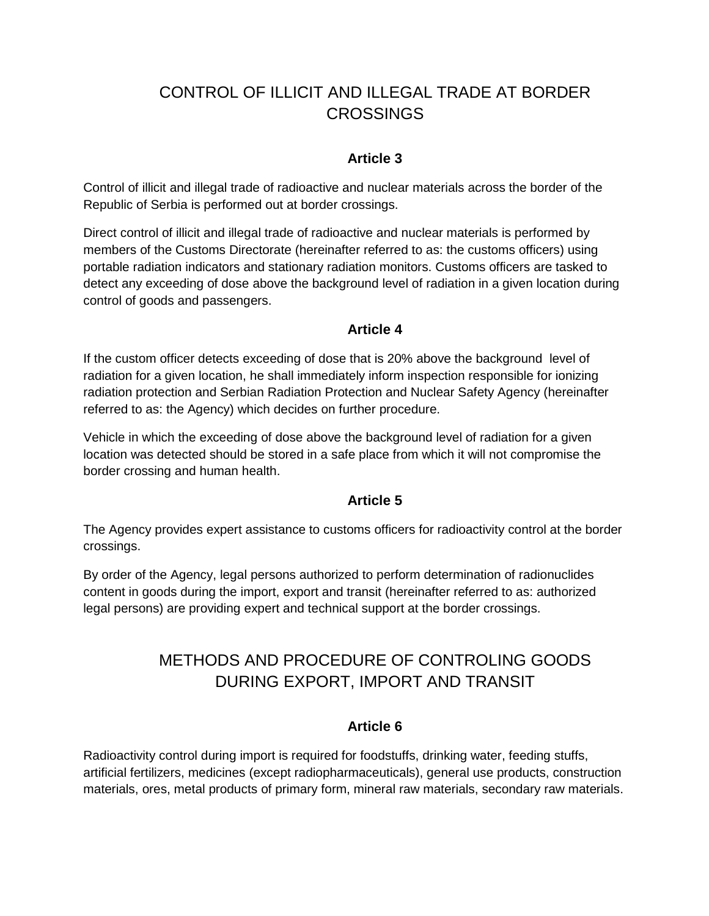## CONTROL OF ILLICIT AND ILLEGAL TRADE AT BORDER CROSSINGS

### **Article 3**

Control of illicit and illegal trade of radioactive and nuclear materials across the border of the Republic of Serbia is performed out at border crossings.

Direct control of illicit and illegal trade of radioactive and nuclear materials is performed by members of the Customs Directorate (hereinafter referred to as: the customs officers) using portable radiation indicators and stationary radiation monitors. Customs officers are tasked to detect any exceeding of dose above the background level of radiation in a given location during control of goods and passengers.

### **Article 4**

If the custom officer detects exceeding of dose that is 20% above the background level of radiation for a given location, he shall immediately inform inspection responsible for ionizing radiation protection and Serbian Radiation Protection and Nuclear Safety Agency (hereinafter referred to as: the Agency) which decides on further procedure.

Vehicle in which the exceeding of dose above the background level of radiation for a given location was detected should be stored in a safe place from which it will not compromise the border crossing and human health.

### **Article 5**

The Agency provides expert assistance to customs officers for radioactivity control at the border crossings.

By order of the Agency, legal persons authorized to perform determination of radionuclides content in goods during the import, export and transit (hereinafter referred to as: authorized legal persons) are providing expert and technical support at the border crossings.

## METHODS AND PROCEDURE OF CONTROLING GOODS DURING EXPORT, IMPORT AND TRANSIT

### **Article 6**

Radioactivity control during import is required for foodstuffs, drinking water, feeding stuffs, artificial fertilizers, medicines (except radiopharmaceuticals), general use products, construction materials, ores, metal products of primary form, mineral raw materials, secondary raw materials.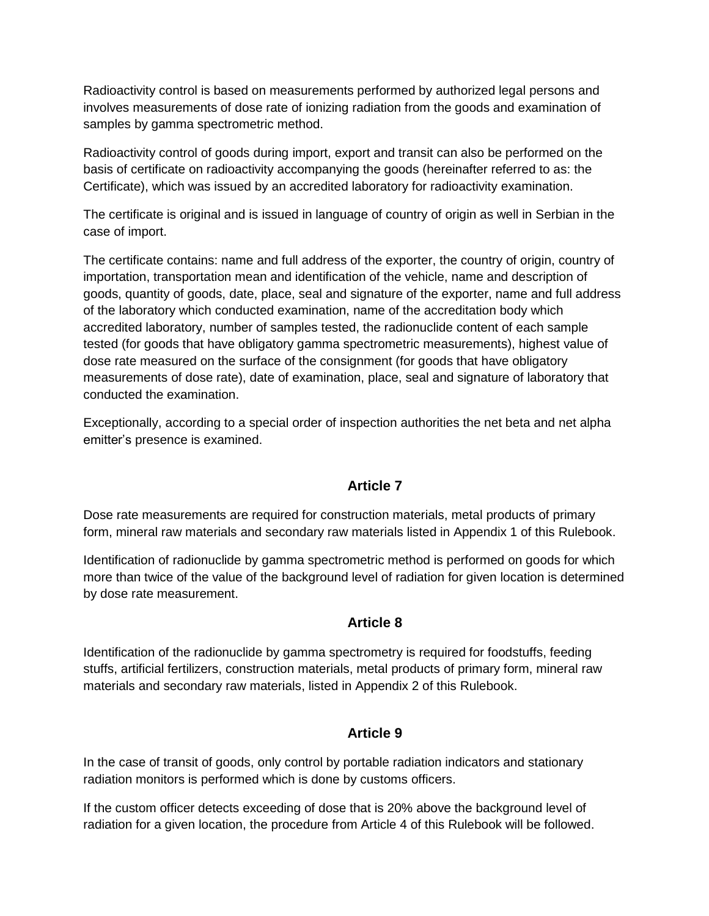Radioactivity control is based on measurements performed by authorized legal persons and involves measurements of dose rate of ionizing radiation from the goods and examination of samples by gamma spectrometric method.

Radioactivity control of goods during import, export and transit can also be performed on the basis of certificate on radioactivity accompanying the goods (hereinafter referred to as: the Certificate), which was issued by an accredited laboratory for radioactivity examination.

The certificate is original and is issued in language of country of origin as well in Serbian in the case of import.

The certificate contains: name and full address of the exporter, the country of origin, country of importation, transportation mean and identification of the vehicle, name and description of goods, quantity of goods, date, place, seal and signature of the exporter, name and full address of the laboratory which conducted examination, name of the accreditation body which accredited laboratory, number of samples tested, the radionuclide content of each sample tested (for goods that have obligatory gamma spectrometric measurements), highest value of dose rate measured on the surface of the consignment (for goods that have obligatory measurements of dose rate), date of examination, place, seal and signature of laboratory that conducted the examination.

Exceptionally, according to a special order of inspection authorities the net beta and net alpha emitter's presence is examined.

### **Article 7**

Dose rate measurements are required for construction materials, metal products of primary form, mineral raw materials and secondary raw materials listed in Appendix 1 of this Rulebook.

Identification of radionuclide by gamma spectrometric method is performed on goods for which more than twice of the value of the background level of radiation for given location is determined by dose rate measurement.

### **Article 8**

Identification of the radionuclide by gamma spectrometry is required for foodstuffs, feeding stuffs, artificial fertilizers, construction materials, metal products of primary form, mineral raw materials and secondary raw materials, listed in Appendix 2 of this Rulebook.

### **Article 9**

In the case of transit of goods, only control by portable radiation indicators and stationary radiation monitors is performed which is done by customs officers.

If the custom officer detects exceeding of dose that is 20% above the background level of radiation for a given location, the procedure from Article 4 of this Rulebook will be followed.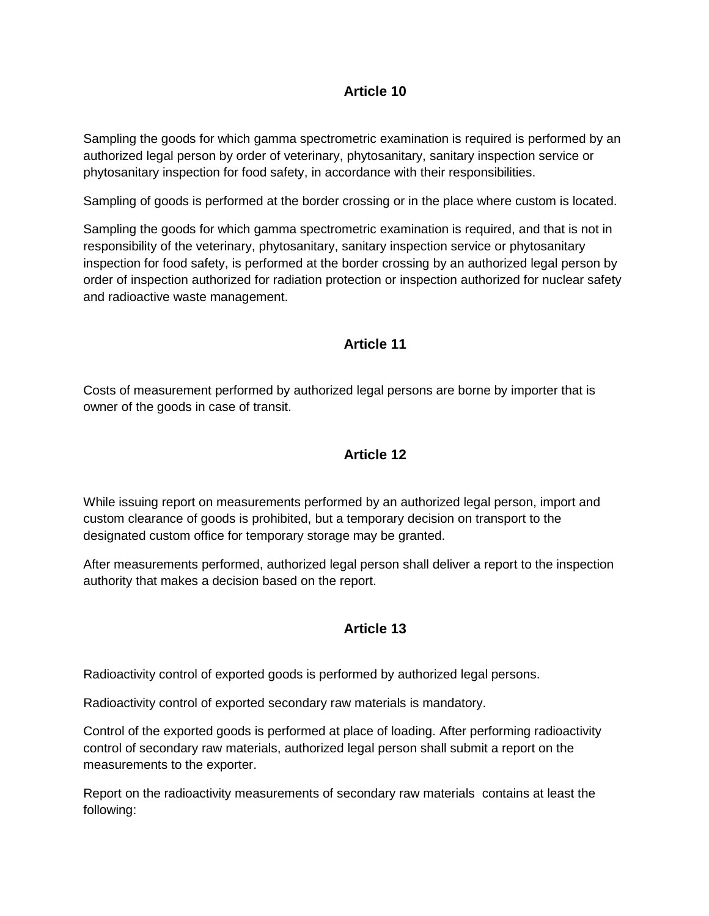## **Article 10**

Sampling the goods for which gamma spectrometric examination is required is performed by an authorized legal person by order of veterinary, phytosanitary, sanitary inspection service or phytosanitary inspection for food safety, in accordance with their responsibilities.

Sampling of goods is performed at the border crossing or in the place where custom is located.

Sampling the goods for which gamma spectrometric examination is required, and that is not in responsibility of the veterinary, phytosanitary, sanitary inspection service or phytosanitary inspection for food safety, is performed at the border crossing by an authorized legal person by order of inspection authorized for radiation protection or inspection authorized for nuclear safety and radioactive waste management.

## **Article 11**

Costs of measurement performed by authorized legal persons are borne by importer that is owner of the goods in case of transit.

## **Article 12**

While issuing report on measurements performed by an authorized legal person, import and custom clearance of goods is prohibited, but a temporary decision on transport to the designated custom office for temporary storage may be granted.

After measurements performed, authorized legal person shall deliver a report to the inspection authority that makes a decision based on the report.

## **Article 13**

Radioactivity control of exported goods is performed by authorized legal persons.

Radioactivity control of exported secondary raw materials is mandatory.

Control of the exported goods is performed at place of loading. After performing radioactivity control of secondary raw materials, authorized legal person shall submit a report on the measurements to the exporter.

Report on the radioactivity measurements of secondary raw materials contains at least the following: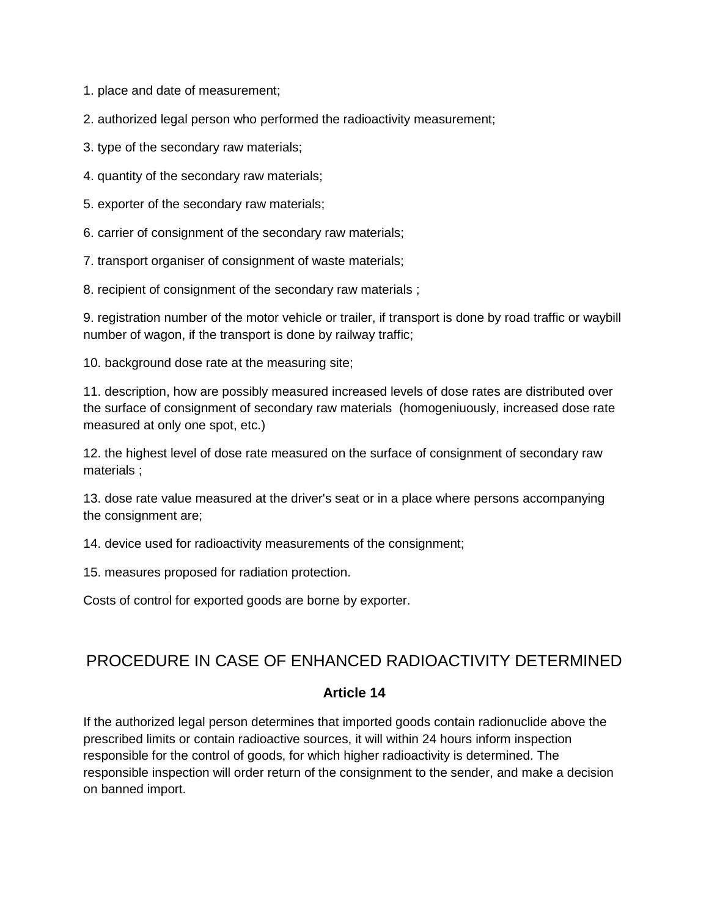1. place and date of measurement;

2. authorized legal person who performed the radioactivity measurement;

- 3. type of the secondary raw materials;
- 4. quantity of the secondary raw materials;
- 5. exporter of the secondary raw materials;
- 6. carrier of consignment of the secondary raw materials;
- 7. transport organiser of consignment of waste materials;
- 8. recipient of consignment of the secondary raw materials ;

9. registration number of the motor vehicle or trailer, if transport is done by road traffic or waybill number of wagon, if the transport is done by railway traffic;

10. background dose rate at the measuring site;

11. description, how are possibly measured increased levels of dose rates are distributed over the surface of consignment of secondary raw materials (homogeniuously, increased dose rate measured at only one spot, etc.)

12. the highest level of dose rate measured on the surface of consignment of secondary raw materials ;

13. dose rate value measured at the driver's seat or in a place where persons accompanying the consignment are;

14. device used for radioactivity measurements of the consignment;

15. measures proposed for radiation protection.

Costs of control for exported goods are borne by exporter.

### PROCEDURE IN CASE OF ENHANCED RADIOACTIVITY DETERMINED

#### **Article 14**

If the authorized legal person determines that imported goods contain radionuclide above the prescribed limits or contain radioactive sources, it will within 24 hours inform inspection responsible for the control of goods, for which higher radioactivity is determined. The responsible inspection will order return of the consignment to the sender, and make a decision on banned import.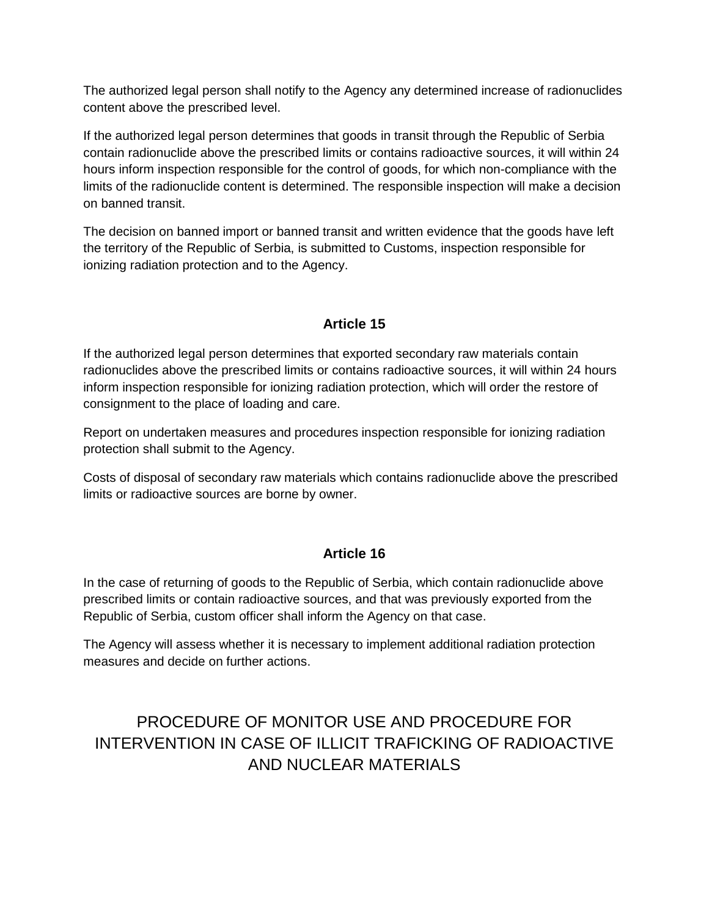The authorized legal person shall notify to the Agency any determined increase of radionuclides content above the prescribed level.

If the authorized legal person determines that goods in transit through the Republic of Serbia contain radionuclide above the prescribed limits or contains radioactive sources, it will within 24 hours inform inspection responsible for the control of goods, for which non-compliance with the limits of the radionuclide content is determined. The responsible inspection will make a decision on banned transit.

The decision on banned import or banned transit and written evidence that the goods have left the territory of the Republic of Serbia, is submitted to Customs, inspection responsible for ionizing radiation protection and to the Agency.

## **Article 15**

If the authorized legal person determines that exported secondary raw materials contain radionuclides above the prescribed limits or contains radioactive sources, it will within 24 hours inform inspection responsible for ionizing radiation protection, which will order the restore of consignment to the place of loading and care.

Report on undertaken measures and procedures inspection responsible for ionizing radiation protection shall submit to the Agency.

Costs of disposal of secondary raw materials which contains radionuclide above the prescribed limits or radioactive sources are borne by owner.

### **Article 16**

In the case of returning of goods to the Republic of Serbia, which contain radionuclide above prescribed limits or contain radioactive sources, and that was previously exported from the Republic of Serbia, custom officer shall inform the Agency on that case.

The Agency will assess whether it is necessary to implement additional radiation protection measures and decide on further actions.

## PROCEDURE OF MONITOR USE AND PROCEDURE FOR INTERVENTION IN CASE OF ILLICIT TRAFICKING OF RADIOACTIVE AND NUCLEAR MATERIALS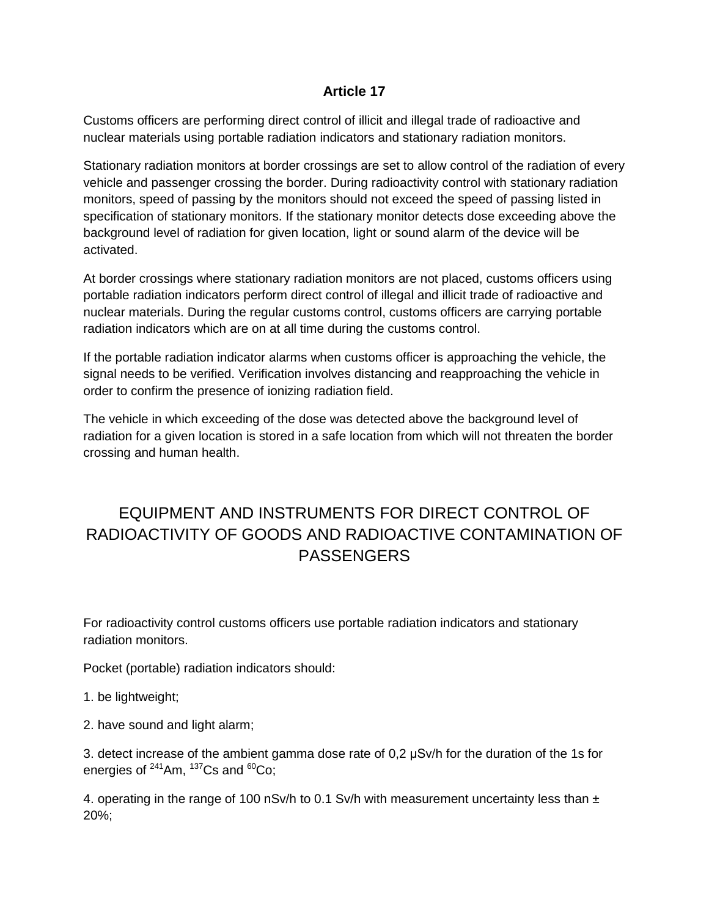### **Article 17**

Customs officers are performing direct control of illicit and illegal trade of radioactive and nuclear materials using portable radiation indicators and stationary radiation monitors.

Stationary radiation monitors at border crossings are set to allow control of the radiation of every vehicle and passenger crossing the border. During radioactivity control with stationary radiation monitors, speed of passing by the monitors should not exceed the speed of passing listed in specification of stationary monitors. If the stationary monitor detects dose exceeding above the background level of radiation for given location, light or sound alarm of the device will be activated.

At border crossings where stationary radiation monitors are not placed, customs officers using portable radiation indicators perform direct control of illegal and illicit trade of radioactive and nuclear materials. During the regular customs control, customs officers are carrying portable radiation indicators which are on at all time during the customs control.

If the portable radiation indicator alarms when customs officer is approaching the vehicle, the signal needs to be verified. Verification involves distancing and reapproaching the vehicle in order to confirm the presence of ionizing radiation field.

The vehicle in which exceeding of the dose was detected above the background level of radiation for a given location is stored in a safe location from which will not threaten the border crossing and human health.

## EQUIPMENT AND INSTRUMENTS FOR DIRECT CONTROL OF RADIOACTIVITY OF GOODS AND RADIOACTIVE CONTAMINATION OF **PASSENGERS**

For radioactivity control customs officers use portable radiation indicators and stationary radiation monitors.

Pocket (portable) radiation indicators should:

- 1. be lightweight;
- 2. have sound and light alarm;

3. detect increase of the ambient gamma dose rate of 0,2 μSv/h for the duration of the 1s for energies of  $241$ Am,  $137$ Cs and  $60$ Co;

4. operating in the range of 100 nSv/h to 0.1 Sv/h with measurement uncertainty less than  $\pm$ 20%;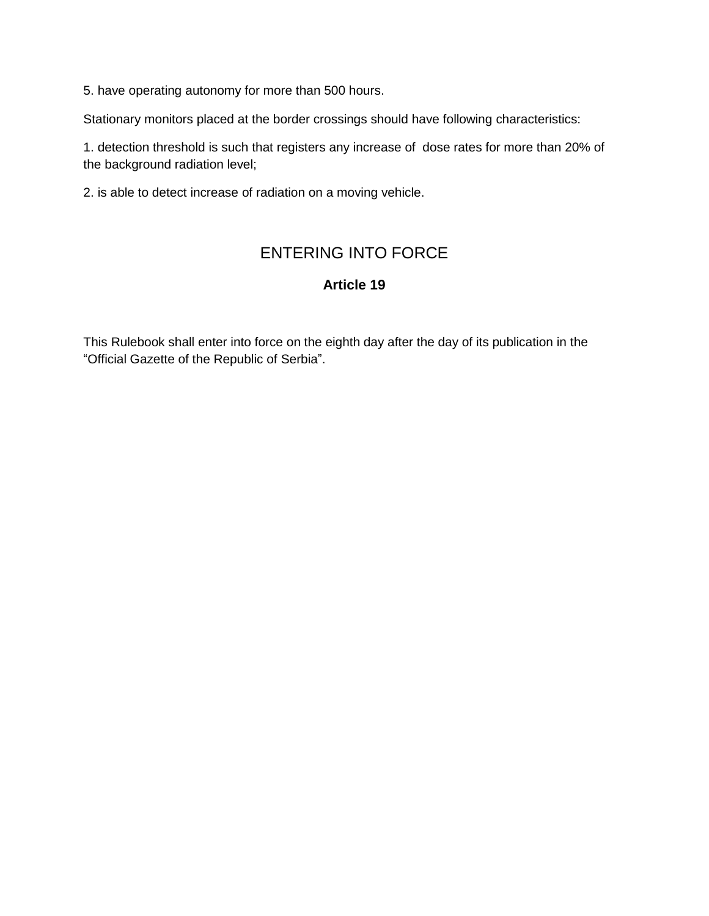5. have operating autonomy for more than 500 hours.

Stationary monitors placed at the border crossings should have following characteristics:

1. detection threshold is such that registers any increase of dose rates for more than 20% of the background radiation level;

2. is able to detect increase of radiation on a moving vehicle.

## ENTERING INTO FORCE

### **Article 19**

This Rulebook shall enter into force on the eighth day after the day of its publication in the "Official Gazette of the Republic of Serbia".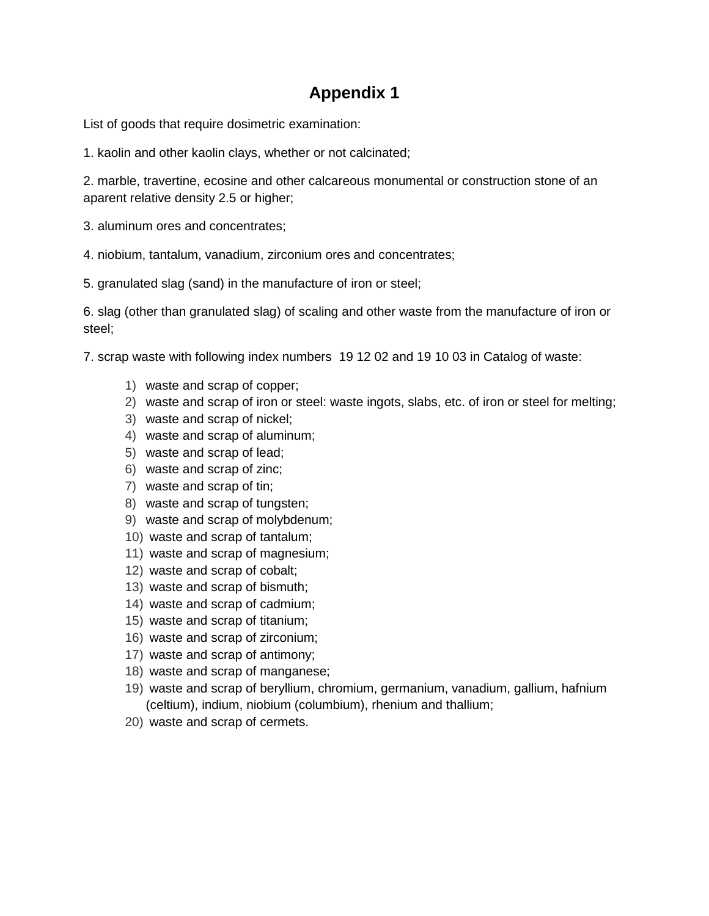## **Appendix 1**

List of goods that require dosimetric examination:

1. kaolin and other kaolin clays, whether or not calcinated;

2. marble, travertine, ecosine and other calcareous monumental or construction stone of an aparent relative density 2.5 or higher;

- 3. aluminum ores and concentrates;
- 4. niobium, tantalum, vanadium, zirconium ores and concentrates;
- 5. granulated slag (sand) in the manufacture of iron or steel;

6. slag (other than granulated slag) of scaling and other waste from the manufacture of iron or steel;

7. scrap waste with following index numbers 19 12 02 and 19 10 03 in Catalog of waste:

- 1) waste and scrap of copper;
- 2) waste and scrap of iron or steel: waste ingots, slabs, etc. of iron or steel for melting;
- 3) waste and scrap of nickel;
- 4) waste and scrap of aluminum;
- 5) waste and scrap of lead;
- 6) waste and scrap of zinc;
- 7) waste and scrap of tin;
- 8) waste and scrap of tungsten;
- 9) waste and scrap of molybdenum;
- 10) waste and scrap of tantalum;
- 11) waste and scrap of magnesium;
- 12) waste and scrap of cobalt;
- 13) waste and scrap of bismuth;
- 14) waste and scrap of cadmium;
- 15) waste and scrap of titanium;
- 16) waste and scrap of zirconium;
- 17) waste and scrap of antimony;
- 18) waste and scrap of manganese;
- 19) waste and scrap of beryllium, chromium, germanium, vanadium, gallium, hafnium (celtium), indium, niobium (columbium), rhenium and thallium;
- 20) waste and scrap of cermets.